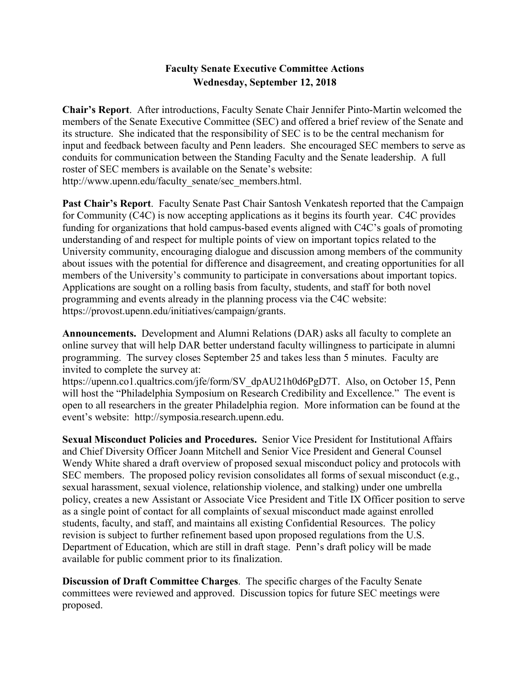# **Faculty Senate Executive Committee Actions Wednesday, September 12, 2018**

**Chair's Report**. After introductions, Faculty Senate Chair Jennifer Pinto-Martin welcomed the members of the Senate Executive Committee (SEC) and offered a brief review of the Senate and its structure. She indicated that the responsibility of SEC is to be the central mechanism for input and feedback between faculty and Penn leaders. She encouraged SEC members to serve as conduits for communication between the Standing Faculty and the Senate leadership. A full roster of SEC members is available on the Senate's website: http://www.upenn.edu/faculty\_senate/sec\_members.html.

**Past Chair's Report**. Faculty Senate Past Chair Santosh Venkatesh reported that the Campaign for Community (C4C) is now accepting applications as it begins its fourth year. C4C provides funding for organizations that hold campus-based events aligned with C4C's goals of promoting understanding of and respect for multiple points of view on important topics related to the University community, encouraging dialogue and discussion among members of the community about issues with the potential for difference and disagreement, and creating opportunities for all members of the University's community to participate in conversations about important topics. Applications are sought on a rolling basis from faculty, students, and staff for both novel programming and events already in the planning process via the C4C website: https://provost.upenn.edu/initiatives/campaign/grants.

**Announcements.** Development and Alumni Relations (DAR) asks all faculty to complete an online survey that will help DAR better understand faculty willingness to participate in alumni programming. The survey closes September 25 and takes less than 5 minutes. Faculty are invited to complete the survey at:

https://upenn.co1.qualtrics.com/jfe/form/SV\_dpAU21h0d6PgD7T. Also, on October 15, Penn will host the "Philadelphia Symposium on Research Credibility and Excellence." The event is open to all researchers in the greater Philadelphia region. More information can be found at the event's website: http://symposia.research.upenn.edu.

**Sexual Misconduct Policies and Procedures.** Senior Vice President for Institutional Affairs and Chief Diversity Officer Joann Mitchell and Senior Vice President and General Counsel Wendy White shared a draft overview of proposed sexual misconduct policy and protocols with SEC members. The proposed policy revision consolidates all forms of sexual misconduct (e.g., sexual harassment, sexual violence, relationship violence, and stalking) under one umbrella policy, creates a new Assistant or Associate Vice President and Title IX Officer position to serve as a single point of contact for all complaints of sexual misconduct made against enrolled students, faculty, and staff, and maintains all existing Confidential Resources. The policy revision is subject to further refinement based upon proposed regulations from the U.S. Department of Education, which are still in draft stage. Penn's draft policy will be made available for public comment prior to its finalization.

**Discussion of Draft Committee Charges**. The specific charges of the Faculty Senate committees were reviewed and approved. Discussion topics for future SEC meetings were proposed.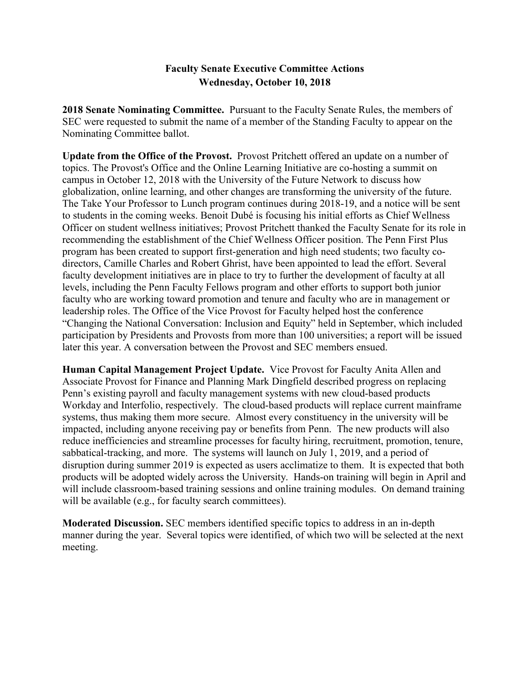# **Faculty Senate Executive Committee Actions Wednesday, October 10, 2018**

**2018 Senate Nominating Committee.** Pursuant to the Faculty Senate Rules, the members of SEC were requested to submit the name of a member of the Standing Faculty to appear on the Nominating Committee ballot.

**Update from the Office of the Provost.** Provost Pritchett offered an update on a number of topics. The Provost's Office and the Online Learning Initiative are co-hosting a summit on campus in October 12, 2018 with the University of the Future Network to discuss how globalization, online learning, and other changes are transforming the university of the future. The Take Your Professor to Lunch program continues during 2018-19, and a notice will be sent to students in the coming weeks. Benoit Dubé is focusing his initial efforts as Chief Wellness Officer on student wellness initiatives; Provost Pritchett thanked the Faculty Senate for its role in recommending the establishment of the Chief Wellness Officer position. The Penn First Plus program has been created to support first-generation and high need students; two faculty codirectors, Camille Charles and Robert Ghrist, have been appointed to lead the effort. Several faculty development initiatives are in place to try to further the development of faculty at all levels, including the Penn Faculty Fellows program and other efforts to support both junior faculty who are working toward promotion and tenure and faculty who are in management or leadership roles. The Office of the Vice Provost for Faculty helped host the conference "Changing the National Conversation: Inclusion and Equity" held in September, which included participation by Presidents and Provosts from more than 100 universities; a report will be issued later this year. A conversation between the Provost and SEC members ensued.

**Human Capital Management Project Update.** Vice Provost for Faculty Anita Allen and Associate Provost for Finance and Planning Mark Dingfield described progress on replacing Penn's existing payroll and faculty management systems with new cloud-based products Workday and Interfolio, respectively. The cloud-based products will replace current mainframe systems, thus making them more secure. Almost every constituency in the university will be impacted, including anyone receiving pay or benefits from Penn. The new products will also reduce inefficiencies and streamline processes for faculty hiring, recruitment, promotion, tenure, sabbatical-tracking, and more. The systems will launch on July 1, 2019, and a period of disruption during summer 2019 is expected as users acclimatize to them. It is expected that both products will be adopted widely across the University. Hands-on training will begin in April and will include classroom-based training sessions and online training modules. On demand training will be available (e.g., for faculty search committees).

**Moderated Discussion.** SEC members identified specific topics to address in an in-depth manner during the year. Several topics were identified, of which two will be selected at the next meeting.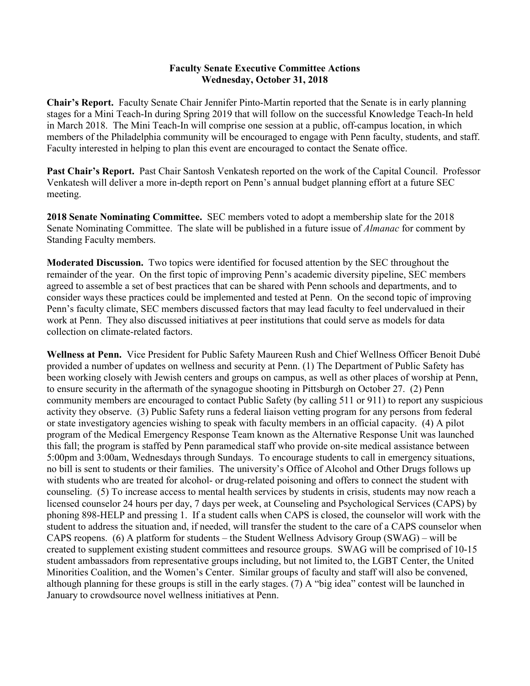#### **Faculty Senate Executive Committee Actions Wednesday, October 31, 2018**

**Chair's Report.** Faculty Senate Chair Jennifer Pinto-Martin reported that the Senate is in early planning stages for a Mini Teach-In during Spring 2019 that will follow on the successful Knowledge Teach-In held in March 2018. The Mini Teach-In will comprise one session at a public, off-campus location, in which members of the Philadelphia community will be encouraged to engage with Penn faculty, students, and staff. Faculty interested in helping to plan this event are encouraged to contact the Senate office.

**Past Chair's Report.** Past Chair Santosh Venkatesh reported on the work of the Capital Council. Professor Venkatesh will deliver a more in-depth report on Penn's annual budget planning effort at a future SEC meeting.

**2018 Senate Nominating Committee.** SEC members voted to adopt a membership slate for the 2018 Senate Nominating Committee. The slate will be published in a future issue of *Almanac* for comment by Standing Faculty members.

**Moderated Discussion.** Two topics were identified for focused attention by the SEC throughout the remainder of the year. On the first topic of improving Penn's academic diversity pipeline, SEC members agreed to assemble a set of best practices that can be shared with Penn schools and departments, and to consider ways these practices could be implemented and tested at Penn. On the second topic of improving Penn's faculty climate, SEC members discussed factors that may lead faculty to feel undervalued in their work at Penn. They also discussed initiatives at peer institutions that could serve as models for data collection on climate-related factors.

**Wellness at Penn.** Vice President for Public Safety Maureen Rush and Chief Wellness Officer Benoit Dubé provided a number of updates on wellness and security at Penn. (1) The Department of Public Safety has been working closely with Jewish centers and groups on campus, as well as other places of worship at Penn, to ensure security in the aftermath of the synagogue shooting in Pittsburgh on October 27. (2) Penn community members are encouraged to contact Public Safety (by calling 511 or 911) to report any suspicious activity they observe. (3) Public Safety runs a federal liaison vetting program for any persons from federal or state investigatory agencies wishing to speak with faculty members in an official capacity. (4) A pilot program of the Medical Emergency Response Team known as the Alternative Response Unit was launched this fall; the program is staffed by Penn paramedical staff who provide on-site medical assistance between 5:00pm and 3:00am, Wednesdays through Sundays. To encourage students to call in emergency situations, no bill is sent to students or their families. The university's Office of Alcohol and Other Drugs follows up with students who are treated for alcohol- or drug-related poisoning and offers to connect the student with counseling. (5) To increase access to mental health services by students in crisis, students may now reach a licensed counselor 24 hours per day, 7 days per week, at Counseling and Psychological Services (CAPS) by phoning 898-HELP and pressing 1. If a student calls when CAPS is closed, the counselor will work with the student to address the situation and, if needed, will transfer the student to the care of a CAPS counselor when CAPS reopens. (6) A platform for students – the Student Wellness Advisory Group (SWAG) – will be created to supplement existing student committees and resource groups. SWAG will be comprised of 10-15 student ambassadors from representative groups including, but not limited to, the LGBT Center, the United Minorities Coalition, and the Women's Center. Similar groups of faculty and staff will also be convened, although planning for these groups is still in the early stages. (7) A "big idea" contest will be launched in January to crowdsource novel wellness initiatives at Penn.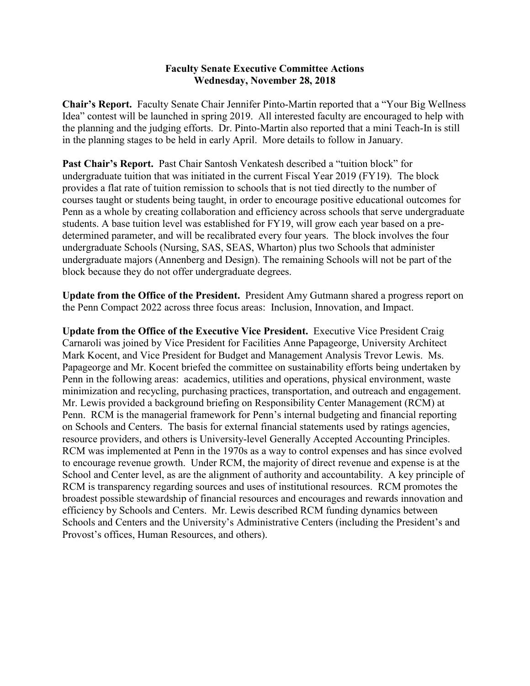### **Faculty Senate Executive Committee Actions Wednesday, November 28, 2018**

**Chair's Report.** Faculty Senate Chair Jennifer Pinto-Martin reported that a "Your Big Wellness Idea" contest will be launched in spring 2019. All interested faculty are encouraged to help with the planning and the judging efforts. Dr. Pinto-Martin also reported that a mini Teach-In is still in the planning stages to be held in early April. More details to follow in January.

**Past Chair's Report.** Past Chair Santosh Venkatesh described a "tuition block" for undergraduate tuition that was initiated in the current Fiscal Year 2019 (FY19). The block provides a flat rate of tuition remission to schools that is not tied directly to the number of courses taught or students being taught, in order to encourage positive educational outcomes for Penn as a whole by creating collaboration and efficiency across schools that serve undergraduate students. A base tuition level was established for FY19, will grow each year based on a predetermined parameter, and will be recalibrated every four years. The block involves the four undergraduate Schools (Nursing, SAS, SEAS, Wharton) plus two Schools that administer undergraduate majors (Annenberg and Design). The remaining Schools will not be part of the block because they do not offer undergraduate degrees.

**Update from the Office of the President.** President Amy Gutmann shared a progress report on the Penn Compact 2022 across three focus areas: Inclusion, Innovation, and Impact.

**Update from the Office of the Executive Vice President.** Executive Vice President Craig Carnaroli was joined by Vice President for Facilities Anne Papageorge, University Architect Mark Kocent, and Vice President for Budget and Management Analysis Trevor Lewis. Ms. Papageorge and Mr. Kocent briefed the committee on sustainability efforts being undertaken by Penn in the following areas: academics, utilities and operations, physical environment, waste minimization and recycling, purchasing practices, transportation, and outreach and engagement. Mr. Lewis provided a background briefing on Responsibility Center Management (RCM) at Penn. RCM is the managerial framework for Penn's internal budgeting and financial reporting on Schools and Centers. The basis for external financial statements used by ratings agencies, resource providers, and others is University-level Generally Accepted Accounting Principles. RCM was implemented at Penn in the 1970s as a way to control expenses and has since evolved to encourage revenue growth. Under RCM, the majority of direct revenue and expense is at the School and Center level, as are the alignment of authority and accountability. A key principle of RCM is transparency regarding sources and uses of institutional resources. RCM promotes the broadest possible stewardship of financial resources and encourages and rewards innovation and efficiency by Schools and Centers. Mr. Lewis described RCM funding dynamics between Schools and Centers and the University's Administrative Centers (including the President's and Provost's offices, Human Resources, and others).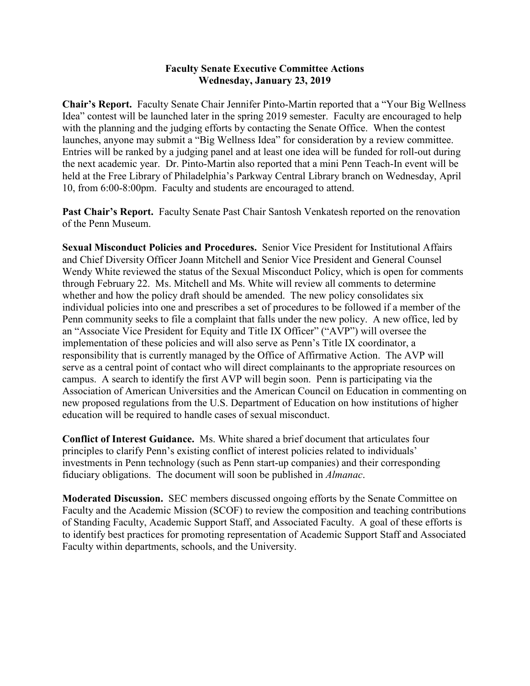### **Faculty Senate Executive Committee Actions Wednesday, January 23, 2019**

**Chair's Report.** Faculty Senate Chair Jennifer Pinto-Martin reported that a "Your Big Wellness Idea" contest will be launched later in the spring 2019 semester. Faculty are encouraged to help with the planning and the judging efforts by contacting the Senate Office. When the contest launches, anyone may submit a "Big Wellness Idea" for consideration by a review committee. Entries will be ranked by a judging panel and at least one idea will be funded for roll-out during the next academic year. Dr. Pinto-Martin also reported that a mini Penn Teach-In event will be held at the Free Library of Philadelphia's Parkway Central Library branch on Wednesday, April 10, from 6:00-8:00pm. Faculty and students are encouraged to attend.

**Past Chair's Report.** Faculty Senate Past Chair Santosh Venkatesh reported on the renovation of the Penn Museum.

**Sexual Misconduct Policies and Procedures.** Senior Vice President for Institutional Affairs and Chief Diversity Officer Joann Mitchell and Senior Vice President and General Counsel Wendy White reviewed the status of the Sexual Misconduct Policy, which is open for comments through February 22. Ms. Mitchell and Ms. White will review all comments to determine whether and how the policy draft should be amended. The new policy consolidates six individual policies into one and prescribes a set of procedures to be followed if a member of the Penn community seeks to file a complaint that falls under the new policy. A new office, led by an "Associate Vice President for Equity and Title IX Officer" ("AVP") will oversee the implementation of these policies and will also serve as Penn's Title IX coordinator, a responsibility that is currently managed by the Office of Affirmative Action. The AVP will serve as a central point of contact who will direct complainants to the appropriate resources on campus. A search to identify the first AVP will begin soon. Penn is participating via the Association of American Universities and the American Council on Education in commenting on new proposed regulations from the U.S. Department of Education on how institutions of higher education will be required to handle cases of sexual misconduct.

**Conflict of Interest Guidance.** Ms. White shared a brief document that articulates four principles to clarify Penn's existing conflict of interest policies related to individuals' investments in Penn technology (such as Penn start-up companies) and their corresponding fiduciary obligations. The document will soon be published in *Almanac*.

**Moderated Discussion.** SEC members discussed ongoing efforts by the Senate Committee on Faculty and the Academic Mission (SCOF) to review the composition and teaching contributions of Standing Faculty, Academic Support Staff, and Associated Faculty. A goal of these efforts is to identify best practices for promoting representation of Academic Support Staff and Associated Faculty within departments, schools, and the University.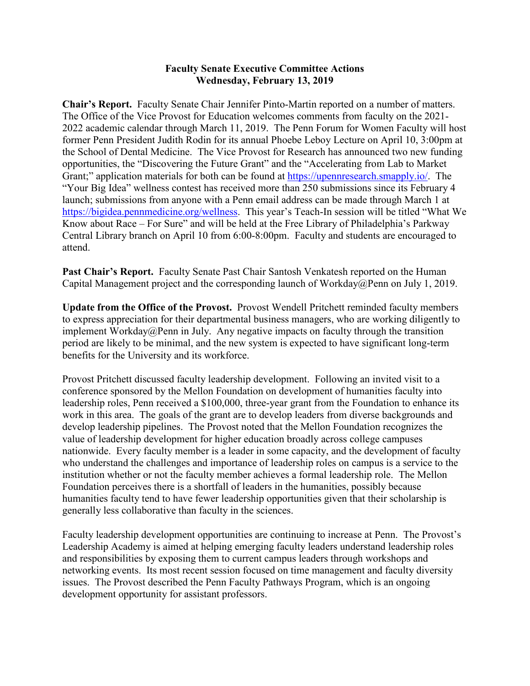## **Faculty Senate Executive Committee Actions Wednesday, February 13, 2019**

**Chair's Report.** Faculty Senate Chair Jennifer Pinto-Martin reported on a number of matters. The Office of the Vice Provost for Education welcomes comments from faculty on the 2021- 2022 academic calendar through March 11, 2019. The Penn Forum for Women Faculty will host former Penn President Judith Rodin for its annual Phoebe Leboy Lecture on April 10, 3:00pm at the School of Dental Medicine. The Vice Provost for Research has announced two new funding opportunities, the "Discovering the Future Grant" and the "Accelerating from Lab to Market Grant;" application materials for both can be found at [https://upennresearch.smapply.io/.](https://upennresearch.smapply.io/) The "Your Big Idea" wellness contest has received more than 250 submissions since its February 4 launch; submissions from anyone with a Penn email address can be made through March 1 at [https://bigidea.pennmedicine.org/wellness.](https://bigidea.pennmedicine.org/wellness) This year's Teach-In session will be titled "What We Know about Race – For Sure" and will be held at the Free Library of Philadelphia's Parkway Central Library branch on April 10 from 6:00-8:00pm. Faculty and students are encouraged to attend.

Past Chair's Report. Faculty Senate Past Chair Santosh Venkatesh reported on the Human Capital Management project and the corresponding launch of Workday@Penn on July 1, 2019.

**Update from the Office of the Provost.** Provost Wendell Pritchett reminded faculty members to express appreciation for their departmental business managers, who are working diligently to implement Workday@Penn in July. Any negative impacts on faculty through the transition period are likely to be minimal, and the new system is expected to have significant long-term benefits for the University and its workforce.

Provost Pritchett discussed faculty leadership development. Following an invited visit to a conference sponsored by the Mellon Foundation on development of humanities faculty into leadership roles, Penn received a \$100,000, three-year grant from the Foundation to enhance its work in this area. The goals of the grant are to develop leaders from diverse backgrounds and develop leadership pipelines. The Provost noted that the Mellon Foundation recognizes the value of leadership development for higher education broadly across college campuses nationwide. Every faculty member is a leader in some capacity, and the development of faculty who understand the challenges and importance of leadership roles on campus is a service to the institution whether or not the faculty member achieves a formal leadership role. The Mellon Foundation perceives there is a shortfall of leaders in the humanities, possibly because humanities faculty tend to have fewer leadership opportunities given that their scholarship is generally less collaborative than faculty in the sciences.

Faculty leadership development opportunities are continuing to increase at Penn. The Provost's Leadership Academy is aimed at helping emerging faculty leaders understand leadership roles and responsibilities by exposing them to current campus leaders through workshops and networking events. Its most recent session focused on time management and faculty diversity issues. The Provost described the Penn Faculty Pathways Program, which is an ongoing development opportunity for assistant professors.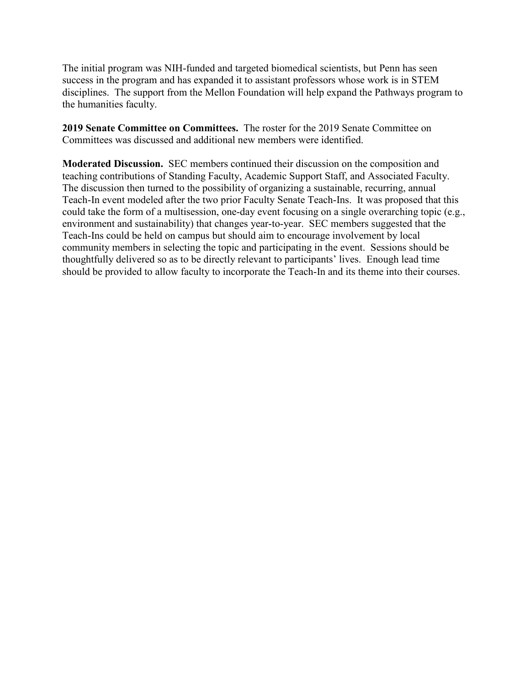The initial program was NIH-funded and targeted biomedical scientists, but Penn has seen success in the program and has expanded it to assistant professors whose work is in STEM disciplines. The support from the Mellon Foundation will help expand the Pathways program to the humanities faculty.

**2019 Senate Committee on Committees.** The roster for the 2019 Senate Committee on Committees was discussed and additional new members were identified.

**Moderated Discussion.** SEC members continued their discussion on the composition and teaching contributions of Standing Faculty, Academic Support Staff, and Associated Faculty. The discussion then turned to the possibility of organizing a sustainable, recurring, annual Teach-In event modeled after the two prior Faculty Senate Teach-Ins. It was proposed that this could take the form of a multisession, one-day event focusing on a single overarching topic (e.g., environment and sustainability) that changes year-to-year. SEC members suggested that the Teach-Ins could be held on campus but should aim to encourage involvement by local community members in selecting the topic and participating in the event. Sessions should be thoughtfully delivered so as to be directly relevant to participants' lives. Enough lead time should be provided to allow faculty to incorporate the Teach-In and its theme into their courses.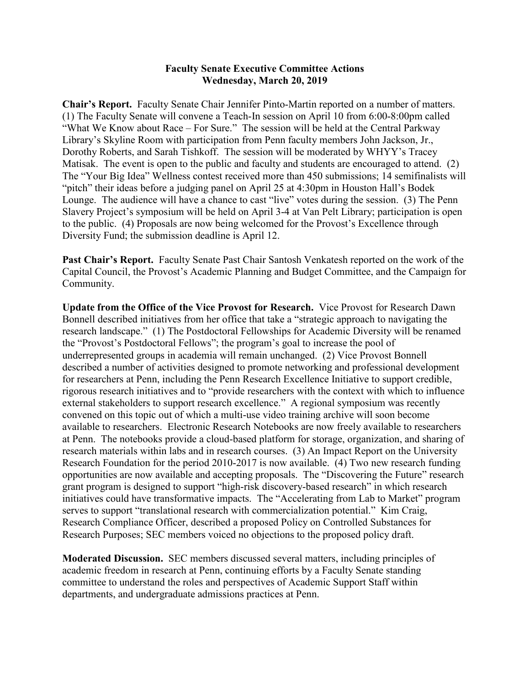#### **Faculty Senate Executive Committee Actions Wednesday, March 20, 2019**

**Chair's Report.** Faculty Senate Chair Jennifer Pinto-Martin reported on a number of matters. (1) The Faculty Senate will convene a Teach-In session on April 10 from 6:00-8:00pm called "What We Know about Race – For Sure." The session will be held at the Central Parkway Library's Skyline Room with participation from Penn faculty members John Jackson, Jr., Dorothy Roberts, and Sarah Tishkoff. The session will be moderated by WHYY's Tracey Matisak. The event is open to the public and faculty and students are encouraged to attend. (2) The "Your Big Idea" Wellness contest received more than 450 submissions; 14 semifinalists will "pitch" their ideas before a judging panel on April 25 at 4:30pm in Houston Hall's Bodek Lounge. The audience will have a chance to cast "live" votes during the session. (3) The Penn Slavery Project's symposium will be held on April 3-4 at Van Pelt Library; participation is open to the public. (4) Proposals are now being welcomed for the Provost's Excellence through Diversity Fund; the submission deadline is April 12.

**Past Chair's Report.** Faculty Senate Past Chair Santosh Venkatesh reported on the work of the Capital Council, the Provost's Academic Planning and Budget Committee, and the Campaign for Community.

**Update from the Office of the Vice Provost for Research.** Vice Provost for Research Dawn Bonnell described initiatives from her office that take a "strategic approach to navigating the research landscape." (1) The Postdoctoral Fellowships for Academic Diversity will be renamed the "Provost's Postdoctoral Fellows"; the program's goal to increase the pool of underrepresented groups in academia will remain unchanged. (2) Vice Provost Bonnell described a number of activities designed to promote networking and professional development for researchers at Penn, including the Penn Research Excellence Initiative to support credible, rigorous research initiatives and to "provide researchers with the context with which to influence external stakeholders to support research excellence." A regional symposium was recently convened on this topic out of which a multi-use video training archive will soon become available to researchers. Electronic Research Notebooks are now freely available to researchers at Penn. The notebooks provide a cloud-based platform for storage, organization, and sharing of research materials within labs and in research courses. (3) An Impact Report on the University Research Foundation for the period 2010-2017 is now available. (4) Two new research funding opportunities are now available and accepting proposals. The "Discovering the Future" research grant program is designed to support "high-risk discovery-based research" in which research initiatives could have transformative impacts. The "Accelerating from Lab to Market" program serves to support "translational research with commercialization potential." Kim Craig, Research Compliance Officer, described a proposed Policy on Controlled Substances for Research Purposes; SEC members voiced no objections to the proposed policy draft.

**Moderated Discussion.** SEC members discussed several matters, including principles of academic freedom in research at Penn, continuing efforts by a Faculty Senate standing committee to understand the roles and perspectives of Academic Support Staff within departments, and undergraduate admissions practices at Penn.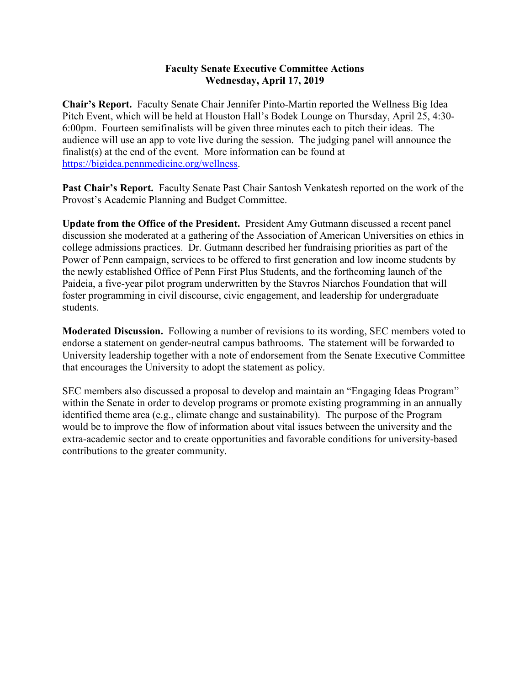## **Faculty Senate Executive Committee Actions Wednesday, April 17, 2019**

**Chair's Report.** Faculty Senate Chair Jennifer Pinto-Martin reported the Wellness Big Idea Pitch Event, which will be held at Houston Hall's Bodek Lounge on Thursday, April 25, 4:30- 6:00pm. Fourteen semifinalists will be given three minutes each to pitch their ideas. The audience will use an app to vote live during the session. The judging panel will announce the finalist(s) at the end of the event. More information can be found at [https://bigidea.pennmedicine.org/wellness.](https://bigidea.pennmedicine.org/wellness)

Past Chair's Report. Faculty Senate Past Chair Santosh Venkatesh reported on the work of the Provost's Academic Planning and Budget Committee.

**Update from the Office of the President.** President Amy Gutmann discussed a recent panel discussion she moderated at a gathering of the Association of American Universities on ethics in college admissions practices. Dr. Gutmann described her fundraising priorities as part of the Power of Penn campaign, services to be offered to first generation and low income students by the newly established Office of Penn First Plus Students, and the forthcoming launch of the Paideia, a five-year pilot program underwritten by the Stavros Niarchos Foundation that will foster programming in civil discourse, civic engagement, and leadership for undergraduate students.

**Moderated Discussion.** Following a number of revisions to its wording, SEC members voted to endorse a statement on gender-neutral campus bathrooms. The statement will be forwarded to University leadership together with a note of endorsement from the Senate Executive Committee that encourages the University to adopt the statement as policy.

SEC members also discussed a proposal to develop and maintain an "Engaging Ideas Program" within the Senate in order to develop programs or promote existing programming in an annually identified theme area (e.g., climate change and sustainability). The purpose of the Program would be to improve the flow of information about vital issues between the university and the extra-academic sector and to create opportunities and favorable conditions for university-based contributions to the greater community.